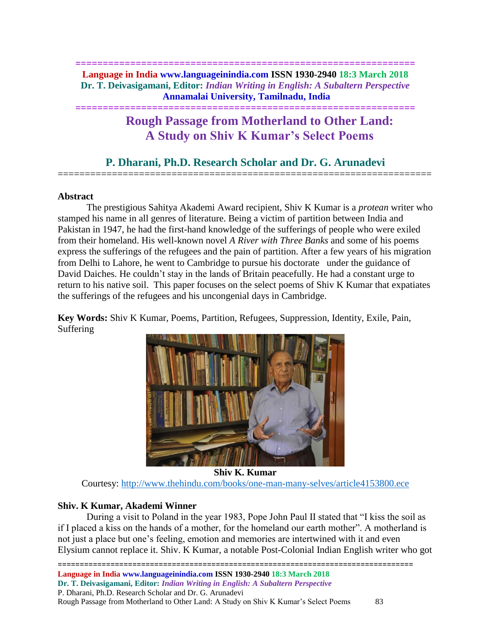# **============================================================== Language in India www.languageinindia.com ISSN 1930-2940 18:3 March 2018 Dr. T. Deivasigamani, Editor:** *Indian Writing in English: A Subaltern Perspective* **Annamalai University, Tamilnadu, India**

**==============================================================**

# **Rough Passage from Motherland to Other Land: A Study on Shiv K Kumar's Select Poems**

# **P. Dharani, Ph.D. Research Scholar and Dr. G. Arunadevi** =====================================================================

# **Abstract**

The prestigious Sahitya Akademi Award recipient, Shiv K Kumar is a *protean* writer who stamped his name in all genres of literature. Being a victim of partition between India and Pakistan in 1947, he had the first-hand knowledge of the sufferings of people who were exiled from their homeland. His well-known novel *A River with Three Banks* and some of his poems express the sufferings of the refugees and the pain of partition. After a few years of his migration from Delhi to Lahore, he went to Cambridge to pursue his doctorate under the guidance of David Daiches. He couldn't stay in the lands of Britain peacefully. He had a constant urge to return to his native soil. This paper focuses on the select poems of Shiv K Kumar that expatiates the sufferings of the refugees and his uncongenial days in Cambridge.

**Key Words:** Shiv K Kumar, Poems, Partition, Refugees, Suppression, Identity, Exile, Pain, Suffering



**Shiv K. Kumar**

Courtesy:<http://www.thehindu.com/books/one-man-many-selves/article4153800.ece>

# **Shiv. K Kumar, Akademi Winner**

During a visit to Poland in the year 1983, Pope John Paul II stated that "I kiss the soil as if I placed a kiss on the hands of a mother, for the homeland our earth mother". A motherland is not just a place but one's feeling, emotion and memories are intertwined with it and even Elysium cannot replace it. Shiv. K Kumar, a notable Post-Colonial Indian English writer who got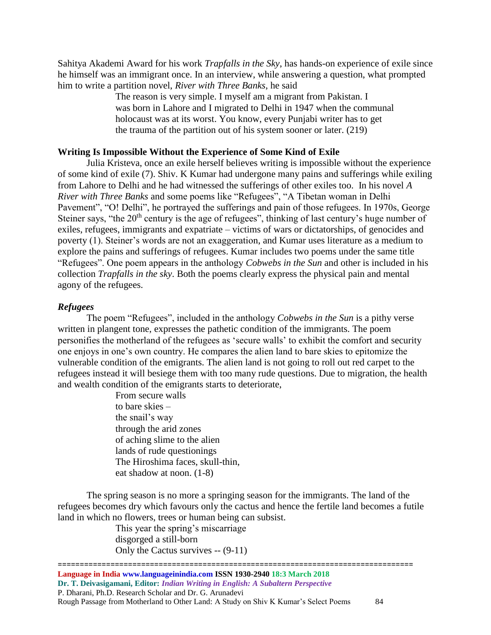Sahitya Akademi Award for his work *Trapfalls in the Sky*, has hands-on experience of exile since he himself was an immigrant once. In an interview, while answering a question, what prompted him to write a partition novel, *River with Three Banks*, he said

> The reason is very simple. I myself am a migrant from Pakistan. I was born in Lahore and I migrated to Delhi in 1947 when the communal holocaust was at its worst. You know, every Punjabi writer has to get the trauma of the partition out of his system sooner or later. (219)

### **Writing Is Impossible Without the Experience of Some Kind of Exile**

Julia Kristeva, once an exile herself believes writing is impossible without the experience of some kind of exile (7). Shiv. K Kumar had undergone many pains and sufferings while exiling from Lahore to Delhi and he had witnessed the sufferings of other exiles too. In his novel *A River with Three Banks* and some poems like "Refugees", "A Tibetan woman in Delhi Pavement", "O! Delhi", he portrayed the sufferings and pain of those refugees. In 1970s, George Steiner says, "the  $20<sup>th</sup>$  century is the age of refugees", thinking of last century's huge number of exiles, refugees, immigrants and expatriate – victims of wars or dictatorships, of genocides and poverty (1). Steiner's words are not an exaggeration, and Kumar uses literature as a medium to explore the pains and sufferings of refugees. Kumar includes two poems under the same title "Refugees". One poem appears in the anthology *Cobwebs in the Sun* and other is included in his collection *Trapfalls in the sky*. Both the poems clearly express the physical pain and mental agony of the refugees.

#### *Refugees*

The poem "Refugees", included in the anthology *Cobwebs in the Sun* is a pithy verse written in plangent tone, expresses the pathetic condition of the immigrants. The poem personifies the motherland of the refugees as 'secure walls' to exhibit the comfort and security one enjoys in one's own country. He compares the alien land to bare skies to epitomize the vulnerable condition of the emigrants. The alien land is not going to roll out red carpet to the refugees instead it will besiege them with too many rude questions. Due to migration, the health and wealth condition of the emigrants starts to deteriorate,

> From secure walls to bare skies – the snail's way through the arid zones of aching slime to the alien lands of rude questionings The Hiroshima faces, skull-thin, eat shadow at noon. (1-8)

The spring season is no more a springing season for the immigrants. The land of the refugees becomes dry which favours only the cactus and hence the fertile land becomes a futile land in which no flowers, trees or human being can subsist.

> This year the spring's miscarriage disgorged a still-born Only the Cactus survives -- (9-11)

================================================================================= **Language in India www.languageinindia.com ISSN 1930-2940 18:3 March 2018 Dr. T. Deivasigamani, Editor:** *Indian Writing in English: A Subaltern Perspective* P. Dharani, Ph.D. Research Scholar and Dr. G. Arunadevi Rough Passage from Motherland to Other Land: A Study on Shiv K Kumar's Select Poems 84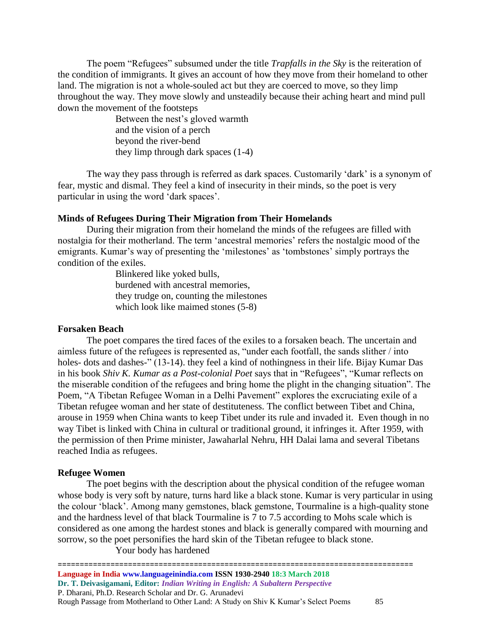The poem "Refugees" subsumed under the title *Trapfalls in the Sky* is the reiteration of the condition of immigrants. It gives an account of how they move from their homeland to other land. The migration is not a whole-souled act but they are coerced to move, so they limp throughout the way. They move slowly and unsteadily because their aching heart and mind pull down the movement of the footsteps

> Between the nest's gloved warmth and the vision of a perch beyond the river-bend they limp through dark spaces (1-4)

The way they pass through is referred as dark spaces. Customarily 'dark' is a synonym of fear, mystic and dismal. They feel a kind of insecurity in their minds, so the poet is very particular in using the word 'dark spaces'.

#### **Minds of Refugees During Their Migration from Their Homelands**

During their migration from their homeland the minds of the refugees are filled with nostalgia for their motherland. The term 'ancestral memories' refers the nostalgic mood of the emigrants. Kumar's way of presenting the 'milestones' as 'tombstones' simply portrays the condition of the exiles.

> Blinkered like yoked bulls, burdened with ancestral memories, they trudge on, counting the milestones which look like maimed stones (5-8)

#### **Forsaken Beach**

The poet compares the tired faces of the exiles to a forsaken beach. The uncertain and aimless future of the refugees is represented as, "under each footfall, the sands slither / into holes- dots and dashes-" (13-14). they feel a kind of nothingness in their life. Bijay Kumar Das in his book *Shiv K. Kumar as a Post-colonial Poet* says that in "Refugees", "Kumar reflects on the miserable condition of the refugees and bring home the plight in the changing situation". The Poem, "A Tibetan Refugee Woman in a Delhi Pavement" explores the excruciating exile of a Tibetan refugee woman and her state of destituteness. The conflict between Tibet and China, arouse in 1959 when China wants to keep Tibet under its rule and invaded it. Even though in no way Tibet is linked with China in cultural or traditional ground, it infringes it. After 1959, with the permission of then Prime minister, Jawaharlal Nehru, HH Dalai lama and several Tibetans reached India as refugees.

#### **Refugee Women**

The poet begins with the description about the physical condition of the refugee woman whose body is very soft by nature, turns hard like a black stone. Kumar is very particular in using the colour 'black'. Among many gemstones, black gemstone, Tourmaline is a high-quality stone and the hardness level of that black Tourmaline is 7 to 7.5 according to Mohs scale which is considered as one among the hardest stones and black is generally compared with mourning and sorrow, so the poet personifies the hard skin of the Tibetan refugee to black stone.

Your body has hardened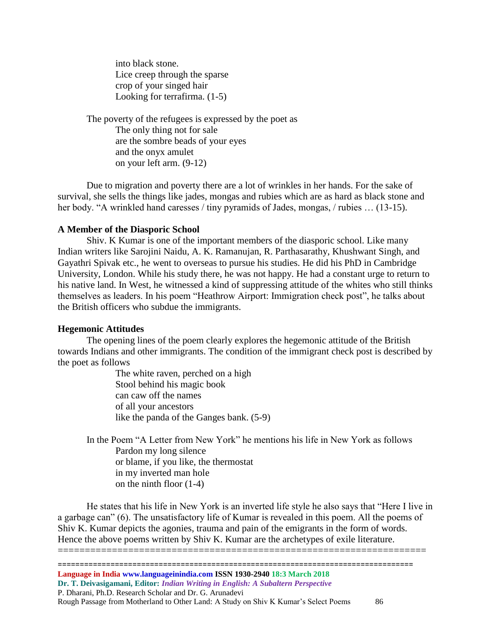into black stone. Lice creep through the sparse crop of your singed hair Looking for terrafirma. (1-5)

The poverty of the refugees is expressed by the poet as The only thing not for sale are the sombre beads of your eyes and the onyx amulet on your left arm. (9-12)

Due to migration and poverty there are a lot of wrinkles in her hands. For the sake of survival, she sells the things like jades, mongas and rubies which are as hard as black stone and her body. "A wrinkled hand caresses / tiny pyramids of Jades, mongas, / rubies ... (13-15).

#### **A Member of the Diasporic School**

Shiv. K Kumar is one of the important members of the diasporic school. Like many Indian writers like Sarojini Naidu, A. K. Ramanujan, R. Parthasarathy, Khushwant Singh, and Gayathri Spivak etc., he went to overseas to pursue his studies. He did his PhD in Cambridge University, London. While his study there, he was not happy. He had a constant urge to return to his native land. In West, he witnessed a kind of suppressing attitude of the whites who still thinks themselves as leaders. In his poem "Heathrow Airport: Immigration check post", he talks about the British officers who subdue the immigrants.

#### **Hegemonic Attitudes**

The opening lines of the poem clearly explores the hegemonic attitude of the British towards Indians and other immigrants. The condition of the immigrant check post is described by the poet as follows

> The white raven, perched on a high Stool behind his magic book can caw off the names of all your ancestors like the panda of the Ganges bank. (5-9)

In the Poem "A Letter from New York" he mentions his life in New York as follows Pardon my long silence or blame, if you like, the thermostat in my inverted man hole on the ninth floor (1-4)

He states that his life in New York is an inverted life style he also says that "Here I live in a garbage can" (6). The unsatisfactory life of Kumar is revealed in this poem. All the poems of Shiv K. Kumar depicts the agonies, trauma and pain of the emigrants in the form of words. Hence the above poems written by Shiv K. Kumar are the archetypes of exile literature.

====================================================================